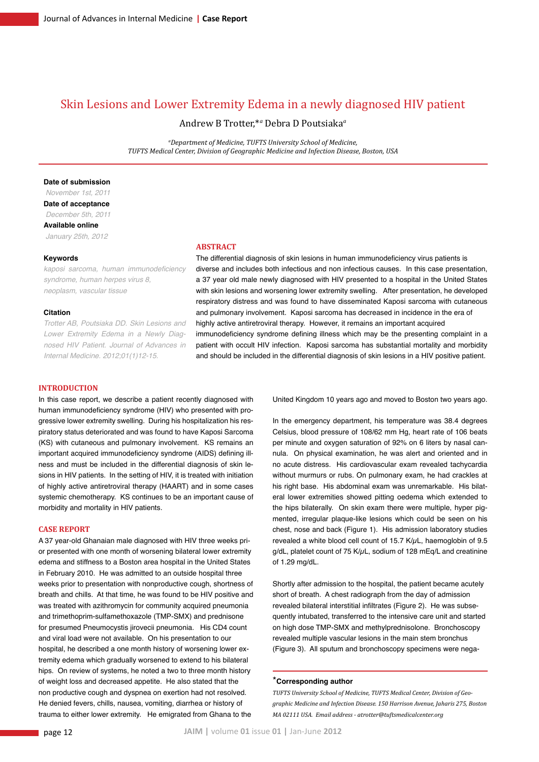# Skin Lesions and Lower Extremity Edema in a newly diagnosed HIV patient

Andrew B Trotter,\**<sup>a</sup>* Debra D Poutsiaka*<sup>a</sup>*

*a Department of Medicine, TUFTS University School of Medicine, TUFTS Medical Center, Division of Geographic Medicine and Infection Disease, Boston, USA*

## **Date of submission**

 *November 1st, 2011* **Date of acceptance**  *December 5th, 2011* **Available online**  *January 25th, 2012*

#### **Keywords**

kaposi sarcoma, human immunodeficiency *syndrome, human herpes virus 8, neoplasm, vascular tissue*

## **Citation**

*Trotter AB, Poutsiaka DD. Skin Lesions and Lower Extremity Edema in a Newly Diagnosed HIV Patient. Journal of Advances in Internal Medicine. 2012;01(1)12-15.*

#### **Abstract**

The differential diagnosis of skin lesions in human immunodeficiency virus patients is diverse and includes both infectious and non infectious causes. In this case presentation, a 37 year old male newly diagnosed with HIV presented to a hospital in the United States with skin lesions and worsening lower extremity swelling. After presentation, he developed respiratory distress and was found to have disseminated Kaposi sarcoma with cutaneous and pulmonary involvement. Kaposi sarcoma has decreased in incidence in the era of highly active antiretroviral therapy. However, it remains an important acquired immunodeficiency syndrome defining illness which may be the presenting complaint in a patient with occult HIV infection. Kaposi sarcoma has substantial mortality and morbidity and should be included in the differential diagnosis of skin lesions in a HIV positive patient.

#### **Introduction**

In this case report, we describe a patient recently diagnosed with human immunodeficiency syndrome (HIV) who presented with progressive lower extremity swelling. During his hospitalization his respiratory status deteriorated and was found to have Kaposi Sarcoma (KS) with cutaneous and pulmonary involvement. KS remains an important acquired immunodeficiency syndrome (AIDS) defining illness and must be included in the differential diagnosis of skin lesions in HIV patients. In the setting of HIV, it is treated with initiation of highly active antiretroviral therapy (HAART) and in some cases systemic chemotherapy. KS continues to be an important cause of morbidity and mortality in HIV patients.

### **Case Report**

A 37 year-old Ghanaian male diagnosed with HIV three weeks prior presented with one month of worsening bilateral lower extremity edema and stiffness to a Boston area hospital in the United States in February 2010. He was admitted to an outside hospital three weeks prior to presentation with nonproductive cough, shortness of breath and chills. At that time, he was found to be HIV positive and was treated with azithromycin for community acquired pneumonia and trimethoprim-sulfamethoxazole (TMP-SMX) and prednisone for presumed Pneumocystis jirovecii pneumonia. His CD4 count and viral load were not available. On his presentation to our hospital, he described a one month history of worsening lower extremity edema which gradually worsened to extend to his bilateral hips. On review of systems, he noted a two to three month history of weight loss and decreased appetite. He also stated that the non productive cough and dyspnea on exertion had not resolved. He denied fevers, chills, nausea, vomiting, diarrhea or history of trauma to either lower extremity. He emigrated from Ghana to the

United Kingdom 10 years ago and moved to Boston two years ago.

In the emergency department, his temperature was 38.4 degrees Celsius, blood pressure of 108/62 mm Hg, heart rate of 106 beats per minute and oxygen saturation of 92% on 6 liters by nasal cannula. On physical examination, he was alert and oriented and in no acute distress. His cardiovascular exam revealed tachycardia without murmurs or rubs. On pulmonary exam, he had crackles at his right base. His abdominal exam was unremarkable. His bilateral lower extremities showed pitting oedema which extended to the hips bilaterally. On skin exam there were multiple, hyper pigmented, irregular plaque-like lesions which could be seen on his chest, nose and back (Figure 1). His admission laboratory studies revealed a white blood cell count of 15.7  $K/\mu$ L, haemoglobin of 9.5 g/dL, platelet count of 75 K/uL, sodium of 128 mEg/L and creatinine of 1.29 mg/dL.

Shortly after admission to the hospital, the patient became acutely short of breath. A chest radiograph from the day of admission revealed bilateral interstitial infiltrates (Figure 2). He was subsequently intubated, transferred to the intensive care unit and started on high dose TMP-SMX and methylprednisolone. Bronchoscopy revealed multiple vascular lesions in the main stem bronchus (Figure 3). All sputum and bronchoscopy specimens were nega-

## \***Corresponding author**

*TUFTS University School of Medicine, TUFTS Medical Center, Division of Geographic Medicine and Infection Disease. 150 Harrison Avenue, Jaharis 275, Boston MA 02111 USA. Email address - atrotter@tuftsmedicalcenter.org*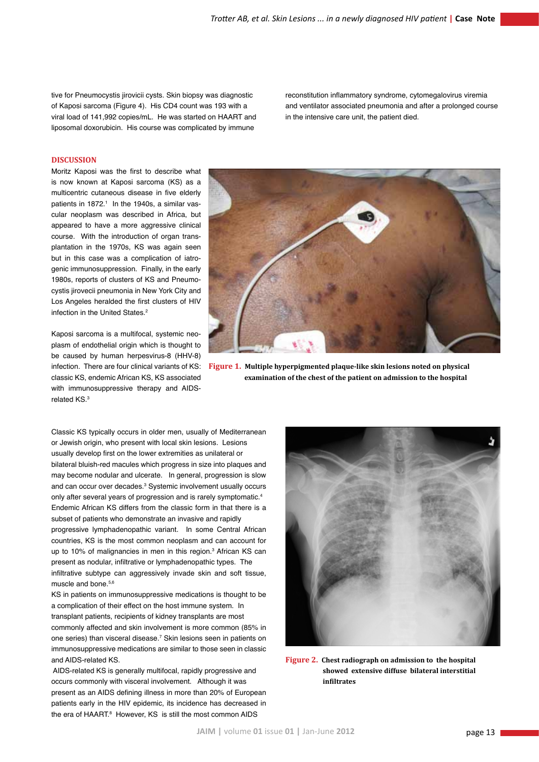tive for Pneumocystis jirovicii cysts. Skin biopsy was diagnostic of Kaposi sarcoma (Figure 4). His CD4 count was 193 with a viral load of 141,992 copies/mL. He was started on HAART and liposomal doxorubicin. His course was complicated by immune

reconstitution inflammatory syndrome, cytomegalovirus viremia and ventilator associated pneumonia and after a prolonged course in the intensive care unit, the patient died.

## **Discussion**

Moritz Kaposi was the first to describe what is now known at Kaposi sarcoma (KS) as a multicentric cutaneous disease in five elderly patients in 1872.<sup>1</sup> In the 1940s, a similar vascular neoplasm was described in Africa, but appeared to have a more aggressive clinical course. With the introduction of organ transplantation in the 1970s, KS was again seen but in this case was a complication of iatrogenic immunosuppression. Finally, in the early 1980s, reports of clusters of KS and Pneumocystis jirovecii pneumonia in New York City and Los Angeles heralded the first clusters of HIV infection in the United States.<sup>2</sup>

Kaposi sarcoma is a multifocal, systemic neoplasm of endothelial origin which is thought to be caused by human herpesvirus-8 (HHV-8) classic KS, endemic African KS, KS associated with immunosuppressive therapy and AIDSrelated KS.3



infection. There are four clinical variants of KS: **Figure 1. Multiple hyperpigmented plaque-like skin lesions noted on physical examination of the chest of the patient on admission to the hospital**

Classic KS typically occurs in older men, usually of Mediterranean or Jewish origin, who present with local skin lesions. Lesions usually develop first on the lower extremities as unilateral or bilateral bluish-red macules which progress in size into plaques and may become nodular and ulcerate. In general, progression is slow and can occur over decades.<sup>3</sup> Systemic involvement usually occurs only after several years of progression and is rarely symptomatic.4 Endemic African KS differs from the classic form in that there is a subset of patients who demonstrate an invasive and rapidly progressive lymphadenopathic variant. In some Central African countries, KS is the most common neoplasm and can account for up to 10% of malignancies in men in this region.<sup>3</sup> African KS can present as nodular, infiltrative or lymphadenopathic types. The infiltrative subtype can aggressively invade skin and soft tissue, muscle and bone.<sup>5,6</sup>

KS in patients on immunosuppressive medications is thought to be a complication of their effect on the host immune system. In transplant patients, recipients of kidney transplants are most commonly affected and skin involvement is more common (85% in one series) than visceral disease.<sup>7</sup> Skin lesions seen in patients on immunosuppressive medications are similar to those seen in classic and AIDS-related KS.

 AIDS-related KS is generally multifocal, rapidly progressive and occurs commonly with visceral involvement. Although it was present as an AIDS defining illness in more than 20% of European patients early in the HIV epidemic, its incidence has decreased in the era of HAART.<sup>8</sup> However, KS is still the most common AIDS



**Figure 2. Chest radiograph on admission to the hospital showed extensive diffuse bilateral interstitial infiltrates**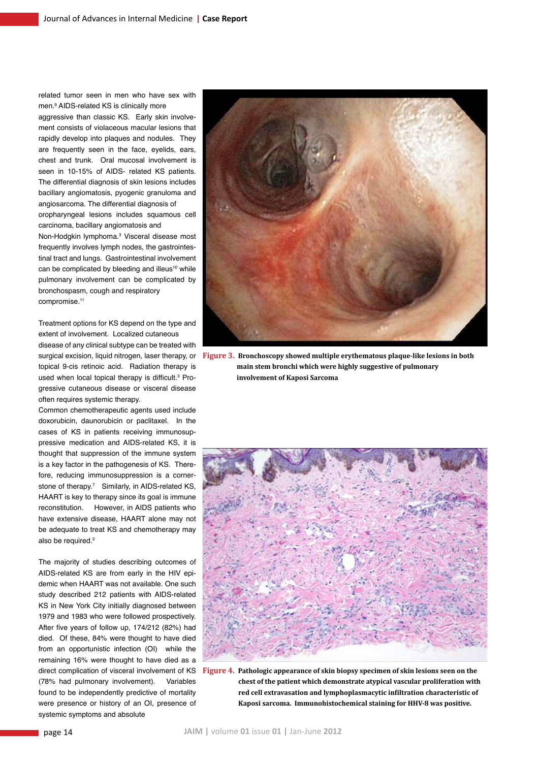related tumor seen in men who have sex with men.9 AIDS-related KS is clinically more

aggressive than classic KS. Early skin involvement consists of violaceous macular lesions that rapidly develop into plaques and nodules. They are frequently seen in the face, eyelids, ears, chest and trunk. Oral mucosal involvement is seen in 10-15% of AIDS- related KS patients. The differential diagnosis of skin lesions includes bacillary angiomatosis, pyogenic granuloma and angiosarcoma. The differential diagnosis of oropharyngeal lesions includes squamous cell

carcinoma, bacillary angiomatosis and Non-Hodgkin lymphoma.<sup>3</sup> Visceral disease most frequently involves lymph nodes, the gastrointestinal tract and lungs. Gastrointestinal involvement can be complicated by bleeding and illeus<sup>10</sup> while

pulmonary involvement can be complicated by bronchospasm, cough and respiratory compromise.<sup>11</sup>

Treatment options for KS depend on the type and extent of involvement. Localized cutaneous

disease of any clinical subtype can be treated with surgical excision, liquid nitrogen, laser therapy, or topical 9-cis retinoic acid. Radiation therapy is used when local topical therapy is difficult.<sup>3</sup> Progressive cutaneous disease or visceral disease often requires systemic therapy.

Common chemotherapeutic agents used include doxorubicin, daunorubicin or paclitaxel. In the cases of KS in patients receiving immunosuppressive medication and AIDS-related KS, it is thought that suppression of the immune system is a key factor in the pathogenesis of KS. Therefore, reducing immunosuppression is a cornerstone of therapy.7 Similarly, in AIDS-related KS, HAART is key to therapy since its goal is immune reconstitution. However, in AIDS patients who have extensive disease, HAART alone may not be adequate to treat KS and chemotherapy may also be required.3

The majority of studies describing outcomes of AIDS-related KS are from early in the HIV epidemic when HAART was not available. One such study described 212 patients with AIDS-related KS in New York City initially diagnosed between 1979 and 1983 who were followed prospectively. After five years of follow up, 174/212 (82%) had died. Of these, 84% were thought to have died from an opportunistic infection (OI) while the remaining 16% were thought to have died as a direct complication of visceral involvement of KS (78% had pulmonary involvement). Variables found to be independently predictive of mortality were presence or history of an OI, presence of systemic symptoms and absolute



**Figure 3. Bronchoscopy showed multiple erythematous plaque-like lesions in both main stem bronchi which were highly suggestive of pulmonary involvement of Kaposi Sarcoma**



**Figure 4. Pathologic appearance of skin biopsy specimen of skin lesions seen on the chest of the patient which demonstrate atypical vascular proliferation with red cell extravasation and lymphoplasmacytic infiltration characteristic of Kaposi sarcoma. Immunohistochemical staining for HHV-8 was positive.**